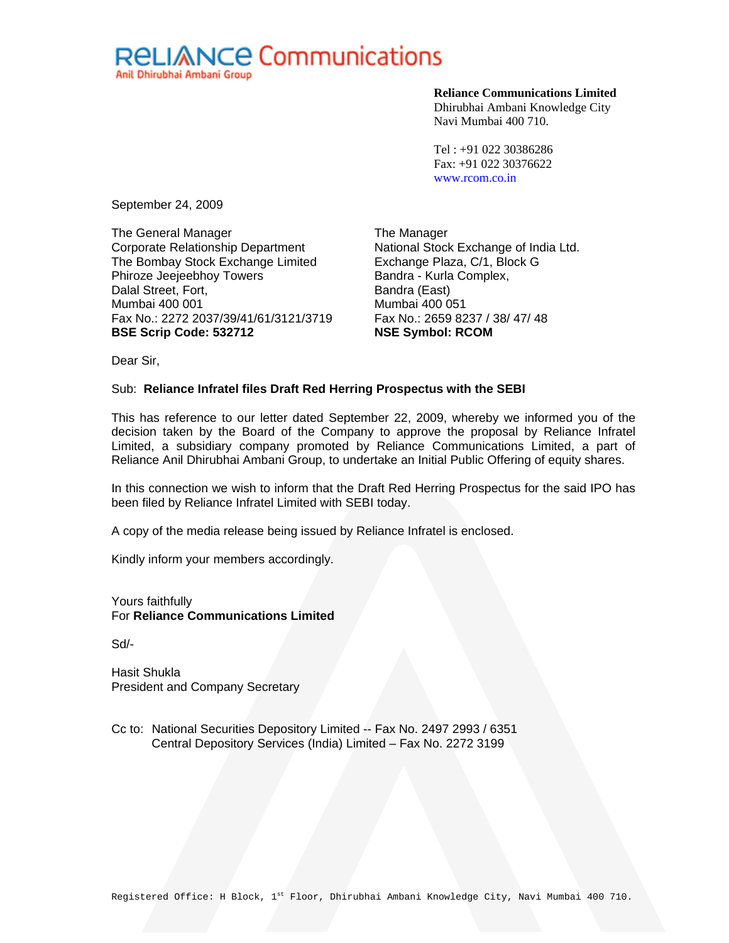# **RELIANCE Communications** Anil Dhirubhai Ambani Group

**Reliance Communications Limited** 

Dhirubhai Ambani Knowledge City Navi Mumbai 400 710.

Tel : +91 022 30386286 Fax: +91 022 30376622 www.rcom.co.in

September 24, 2009

The General Manager Corporate Relationship Department The Bombay Stock Exchange Limited Phiroze Jeejeebhoy Towers Dalal Street, Fort, Mumbai 400 001 Fax No.: 2272 2037/39/41/61/3121/3719 **BSE Scrip Code: 532712** 

The Manager National Stock Exchange of India Ltd. Exchange Plaza, C/1, Block G Bandra - Kurla Complex, Bandra (East) Mumbai 400 051 Fax No.: 2659 8237 / 38/ 47/ 48 **NSE Symbol: RCOM** 

Dear Sir,

# Sub: **Reliance Infratel files Draft Red Herring Prospectus with the SEBI**

This has reference to our letter dated September 22, 2009, whereby we informed you of the decision taken by the Board of the Company to approve the proposal by Reliance Infratel Limited, a subsidiary company promoted by Reliance Communications Limited, a part of Reliance Anil Dhirubhai Ambani Group, to undertake an Initial Public Offering of equity shares.

In this connection we wish to inform that the Draft Red Herring Prospectus for the said IPO has been filed by Reliance Infratel Limited with SEBI today.

A copy of the media release being issued by Reliance Infratel is enclosed.

Kindly inform your members accordingly.

Yours faithfully For **Reliance Communications Limited** 

Sd/-

Hasit Shukla President and Company Secretary

Cc to: National Securities Depository Limited -- Fax No. 2497 2993 / 6351 Central Depository Services (India) Limited – Fax No. 2272 3199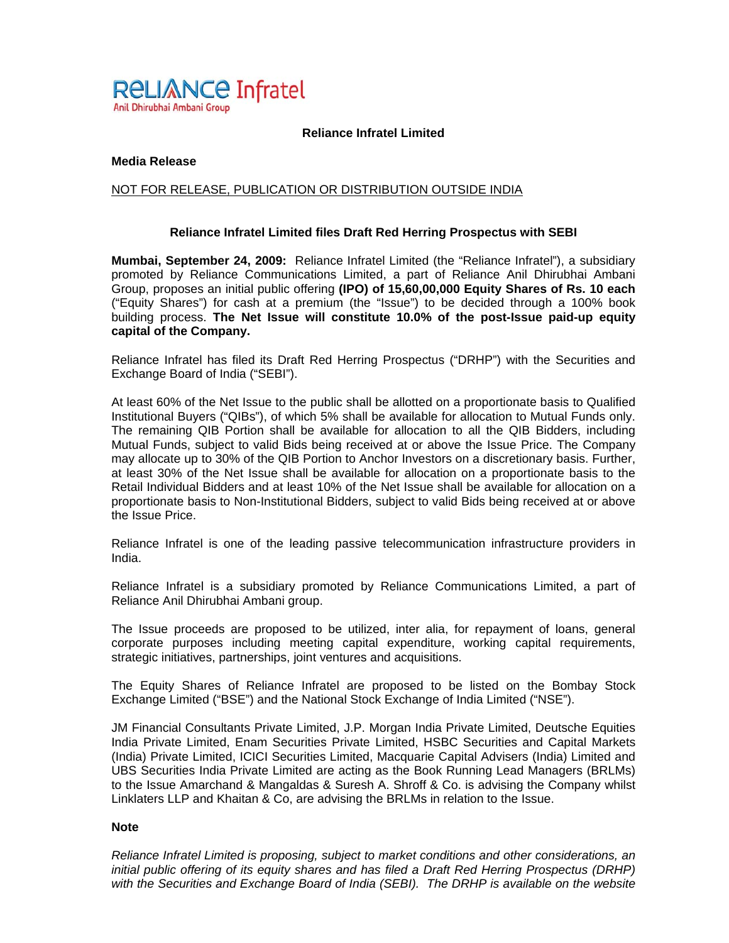

## **Reliance Infratel Limited**

## **Media Release**

## NOT FOR RELEASE, PUBLICATION OR DISTRIBUTION OUTSIDE INDIA

#### **Reliance Infratel Limited files Draft Red Herring Prospectus with SEBI**

**Mumbai, September 24, 2009:** Reliance Infratel Limited (the "Reliance Infratel"), a subsidiary promoted by Reliance Communications Limited, a part of Reliance Anil Dhirubhai Ambani Group, proposes an initial public offering **(IPO) of 15,60,00,000 Equity Shares of Rs. 10 each** ("Equity Shares") for cash at a premium (the "Issue") to be decided through a 100% book building process. **The Net Issue will constitute 10.0% of the post-Issue paid-up equity capital of the Company.**

Reliance Infratel has filed its Draft Red Herring Prospectus ("DRHP") with the Securities and Exchange Board of India ("SEBI").

At least 60% of the Net Issue to the public shall be allotted on a proportionate basis to Qualified Institutional Buyers ("QIBs"), of which 5% shall be available for allocation to Mutual Funds only. The remaining QIB Portion shall be available for allocation to all the QIB Bidders, including Mutual Funds, subject to valid Bids being received at or above the Issue Price. The Company may allocate up to 30% of the QIB Portion to Anchor Investors on a discretionary basis. Further, at least 30% of the Net Issue shall be available for allocation on a proportionate basis to the Retail Individual Bidders and at least 10% of the Net Issue shall be available for allocation on a proportionate basis to Non-Institutional Bidders, subject to valid Bids being received at or above the Issue Price.

Reliance Infratel is one of the leading passive telecommunication infrastructure providers in India.

Reliance Infratel is a subsidiary promoted by Reliance Communications Limited, a part of Reliance Anil Dhirubhai Ambani group.

The Issue proceeds are proposed to be utilized, inter alia, for repayment of loans, general corporate purposes including meeting capital expenditure, working capital requirements, strategic initiatives, partnerships, joint ventures and acquisitions.

The Equity Shares of Reliance Infratel are proposed to be listed on the Bombay Stock Exchange Limited ("BSE") and the National Stock Exchange of India Limited ("NSE").

JM Financial Consultants Private Limited, J.P. Morgan India Private Limited, Deutsche Equities India Private Limited, Enam Securities Private Limited, HSBC Securities and Capital Markets (India) Private Limited, ICICI Securities Limited, Macquarie Capital Advisers (India) Limited and UBS Securities India Private Limited are acting as the Book Running Lead Managers (BRLMs) to the Issue Amarchand & Mangaldas & Suresh A. Shroff & Co. is advising the Company whilst Linklaters LLP and Khaitan & Co, are advising the BRLMs in relation to the Issue.

#### **Note**

*Reliance Infratel Limited is proposing, subject to market conditions and other considerations, an initial public offering of its equity shares and has filed a Draft Red Herring Prospectus (DRHP) with the Securities and Exchange Board of India (SEBI). The DRHP is available on the website*